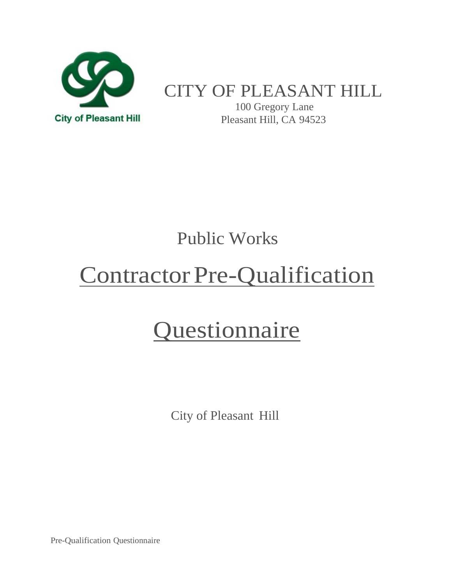

### CITY OF PLEASANT HILL

100 Gregory Lane Pleasant Hill, CA 94523

### Public Works

# Contractor Pre-Qualification

## **Questionnaire**

City of Pleasant Hill

Pre-Qualification Questionnaire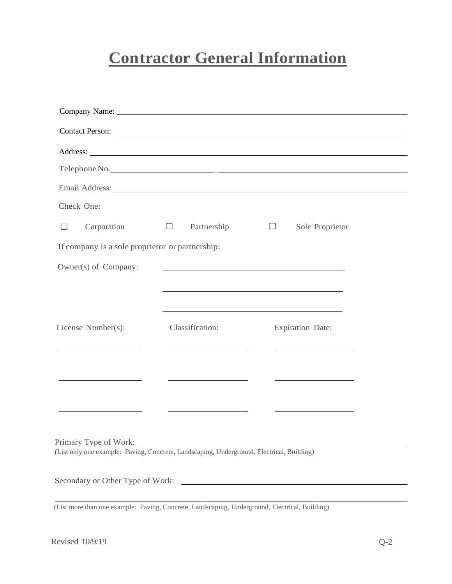### **Contractor General Information**

|                                                                                                                                                                                                                                      |                                                                                                                       | Telephone No.                                              |  |
|--------------------------------------------------------------------------------------------------------------------------------------------------------------------------------------------------------------------------------------|-----------------------------------------------------------------------------------------------------------------------|------------------------------------------------------------|--|
| Email Address: No. 1996. The Communication of the Communication of the Communication of the Communication of the Communication of the Communication of the Communication of the Communication of the Communication of the Comm       |                                                                                                                       |                                                            |  |
| Check One:                                                                                                                                                                                                                           |                                                                                                                       |                                                            |  |
| Corporation<br>$\Box$                                                                                                                                                                                                                | $\Box$<br>Partnership                                                                                                 | $\Box$<br>Sole Proprietor                                  |  |
| If company is a sole proprietor or partnership:                                                                                                                                                                                      |                                                                                                                       |                                                            |  |
| Owner(s) of Company:                                                                                                                                                                                                                 | <u> 1989 - Johann Stoff, deutscher Stoff, der Stoff, der Stoff, der Stoff, der Stoff, der Stoff, der Stoff, der S</u> |                                                            |  |
|                                                                                                                                                                                                                                      |                                                                                                                       | <u> 1989 - Johann Stoff, amerikansk politiker (* 1908)</u> |  |
|                                                                                                                                                                                                                                      |                                                                                                                       |                                                            |  |
| License Number(s):                                                                                                                                                                                                                   | Classification:                                                                                                       | <b>Expiration Date:</b>                                    |  |
|                                                                                                                                                                                                                                      |                                                                                                                       |                                                            |  |
| <u>and the company of the company of the company of the company of the company of the company of the company of the company of the company of the company of the company of the company of the company of the company of the com</u> | <u> 1989 - Jan Stein Harry Stein Harry Stein Harry Stein Harry Stein Harry Stein Harry Stein Harry Stein Harry S</u>  |                                                            |  |
|                                                                                                                                                                                                                                      |                                                                                                                       |                                                            |  |
|                                                                                                                                                                                                                                      |                                                                                                                       |                                                            |  |
|                                                                                                                                                                                                                                      |                                                                                                                       |                                                            |  |
| (List only one example: Paving, Concrete, Landscaping, Underground, Electrical, Building)                                                                                                                                            |                                                                                                                       |                                                            |  |
| Secondary or Other Type of Work:                                                                                                                                                                                                     |                                                                                                                       |                                                            |  |

(List more than one example: Paving, Concrete, Landscaping, Underground, Electrical, Building)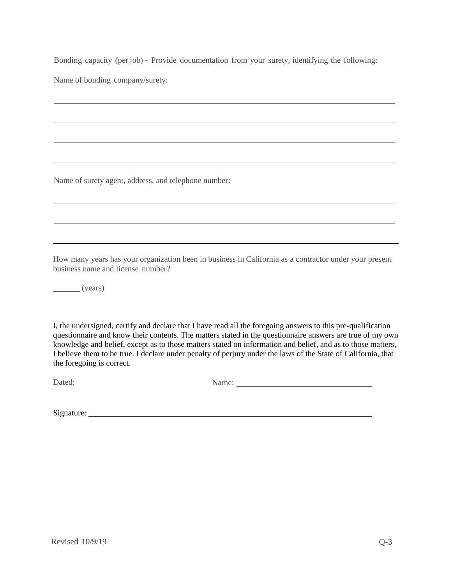Bonding capacity (per job) - Provide documentation from your surety, identifying the following:

Name of bonding company/surety:

Name of surety agent, address, and telephone number:

How many years has your organization been in business in California as a contractor under your present business name and license number?

(years)

I, the undersigned, certify and declare that I have read all the foregoing answers to this pre-qualification questionnaire and know their contents. The matters stated in the questionnaire answers are true of my own knowledge and belief, except as to those matters stated on information and belief, and as to those matters, I believe them to be true. I declare under penalty of perjury under the laws of the State of California, that the foregoing is correct.

Dated: Name:

Signature: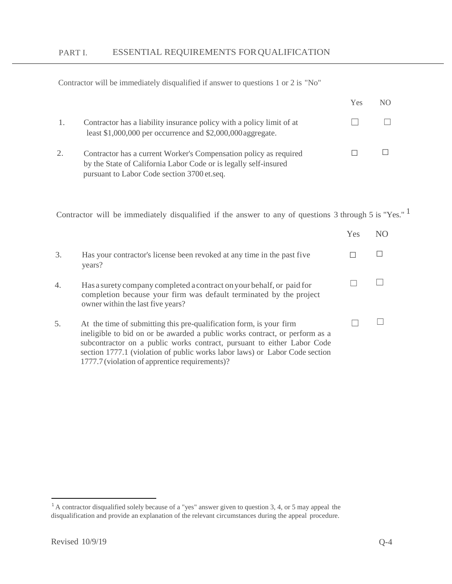Contractor will be immediately disqualified if answer to questions 1 or 2 is "No"

|    |                                                                                                                                                                                      | Yes | N() |
|----|--------------------------------------------------------------------------------------------------------------------------------------------------------------------------------------|-----|-----|
|    | Contractor has a liability insurance policy with a policy limit of at<br>least \$1,000,000 per occurrence and \$2,000,000 aggregate.                                                 |     |     |
| 2. | Contractor has a current Worker's Compensation policy as required<br>by the State of California Labor Code or is legally self-insured<br>pursuant to Labor Code section 3700 et.seq. |     |     |

Contractor will be immediately disqualified if the answer to any of questions 3 through 5 is "Yes." 1

|    |                                                                                                                                                                                                                                                                                                                                                                | Yes | NO. |
|----|----------------------------------------------------------------------------------------------------------------------------------------------------------------------------------------------------------------------------------------------------------------------------------------------------------------------------------------------------------------|-----|-----|
| 3. | Has your contractor's license been revoked at any time in the past five<br>years?                                                                                                                                                                                                                                                                              |     |     |
| 4. | Has a surety company completed a contract on your behalf, or paid for<br>completion because your firm was default terminated by the project<br>owner within the last five years?                                                                                                                                                                               |     |     |
| 5. | At the time of submitting this pre-qualification form, is your firm<br>ineligible to bid on or be awarded a public works contract, or perform as a<br>subcontractor on a public works contract, pursuant to either Labor Code<br>section 1777.1 (violation of public works labor laws) or Labor Code section<br>1777.7 (violation of apprentice requirements)? |     |     |

<sup>&</sup>lt;sup>1</sup> A contractor disqualified solely because of a "yes" answer given to question 3, 4, or 5 may appeal the disqualification and provide an explanation of the relevant circumstances during the appeal procedure.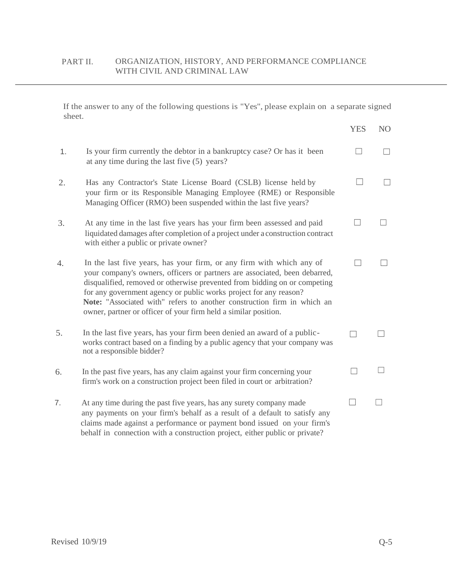If the answer to any of the following questions is "Yes", please explain on a separate signed sheet.

|    |                                                                                                                                                                                                                                                                                                                                                                                                                                                    | <b>YES</b> | N <sub>O</sub> |
|----|----------------------------------------------------------------------------------------------------------------------------------------------------------------------------------------------------------------------------------------------------------------------------------------------------------------------------------------------------------------------------------------------------------------------------------------------------|------------|----------------|
| 1. | Is your firm currently the debtor in a bankruptcy case? Or has it been<br>at any time during the last five (5) years?                                                                                                                                                                                                                                                                                                                              |            |                |
| 2. | Has any Contractor's State License Board (CSLB) license held by<br>your firm or its Responsible Managing Employee (RME) or Responsible<br>Managing Officer (RMO) been suspended within the last five years?                                                                                                                                                                                                                                        |            |                |
| 3. | At any time in the last five years has your firm been assessed and paid<br>liquidated damages after completion of a project under a construction contract<br>with either a public or private owner?                                                                                                                                                                                                                                                |            |                |
| 4. | In the last five years, has your firm, or any firm with which any of<br>your company's owners, officers or partners are associated, been debarred,<br>disqualified, removed or otherwise prevented from bidding on or competing<br>for any government agency or public works project for any reason?<br>Note: "Associated with" refers to another construction firm in which an<br>owner, partner or officer of your firm held a similar position. |            |                |
| 5. | In the last five years, has your firm been denied an award of a public-<br>works contract based on a finding by a public agency that your company was<br>not a responsible bidder?                                                                                                                                                                                                                                                                 |            |                |
| 6. | In the past five years, has any claim against your firm concerning your<br>firm's work on a construction project been filed in court or arbitration?                                                                                                                                                                                                                                                                                               |            |                |
| 7. | At any time during the past five years, has any surety company made<br>any payments on your firm's behalf as a result of a default to satisfy any<br>claims made against a performance or payment bond issued on your firm's<br>behalf in connection with a construction project, either public or private?                                                                                                                                        |            |                |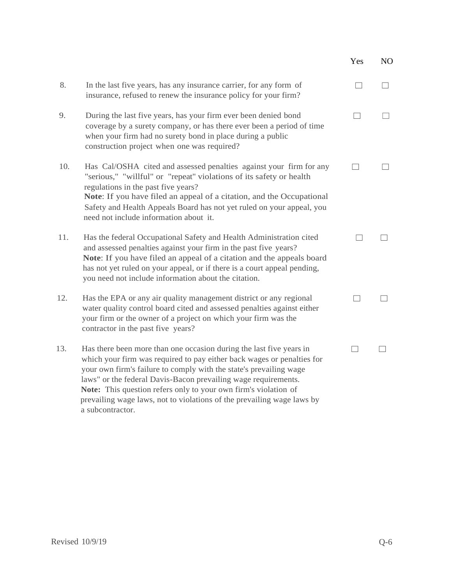|     |                                                                                                                                                                                                                                                                                                                                                                                                                                                        | Yes | NO. |
|-----|--------------------------------------------------------------------------------------------------------------------------------------------------------------------------------------------------------------------------------------------------------------------------------------------------------------------------------------------------------------------------------------------------------------------------------------------------------|-----|-----|
| 8.  | In the last five years, has any insurance carrier, for any form of<br>insurance, refused to renew the insurance policy for your firm?                                                                                                                                                                                                                                                                                                                  |     |     |
| 9.  | During the last five years, has your firm ever been denied bond<br>coverage by a surety company, or has there ever been a period of time<br>when your firm had no surety bond in place during a public<br>construction project when one was required?                                                                                                                                                                                                  |     |     |
| 10. | Has Cal/OSHA cited and assessed penalties against your firm for any<br>"serious," "willful" or "repeat" violations of its safety or health<br>regulations in the past five years?<br>Note: If you have filed an appeal of a citation, and the Occupational<br>Safety and Health Appeals Board has not yet ruled on your appeal, you<br>need not include information about it.                                                                          |     |     |
| 11. | Has the federal Occupational Safety and Health Administration cited<br>and assessed penalties against your firm in the past five years?<br>Note: If you have filed an appeal of a citation and the appeals board<br>has not yet ruled on your appeal, or if there is a court appeal pending,<br>you need not include information about the citation.                                                                                                   |     |     |
| 12. | Has the EPA or any air quality management district or any regional<br>water quality control board cited and assessed penalties against either<br>your firm or the owner of a project on which your firm was the<br>contractor in the past five years?                                                                                                                                                                                                  |     |     |
| 13. | Has there been more than one occasion during the last five years in<br>which your firm was required to pay either back wages or penalties for<br>your own firm's failure to comply with the state's prevailing wage<br>laws" or the federal Davis-Bacon prevailing wage requirements.<br>Note: This question refers only to your own firm's violation of<br>prevailing wage laws, not to violations of the prevailing wage laws by<br>a subcontractor. |     |     |